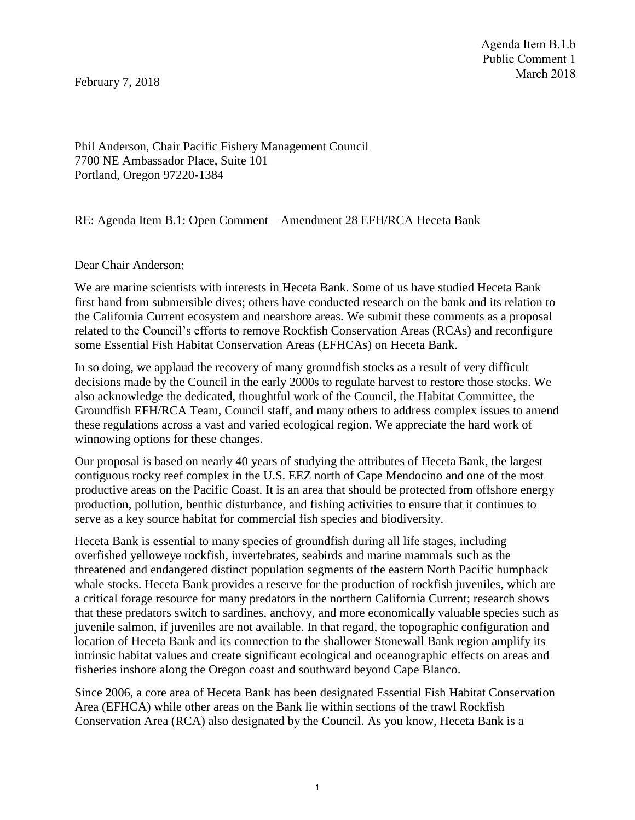February 7, 2018

Phil Anderson, Chair Pacific Fishery Management Council 7700 NE Ambassador Place, Suite 101 Portland, Oregon 97220-1384

RE: Agenda Item B.1: Open Comment – Amendment 28 EFH/RCA Heceta Bank

Dear Chair Anderson:

We are marine scientists with interests in Heceta Bank. Some of us have studied Heceta Bank first hand from submersible dives; others have conducted research on the bank and its relation to the California Current ecosystem and nearshore areas. We submit these comments as a proposal related to the Council's efforts to remove Rockfish Conservation Areas (RCAs) and reconfigure some Essential Fish Habitat Conservation Areas (EFHCAs) on Heceta Bank.

In so doing, we applaud the recovery of many groundfish stocks as a result of very difficult decisions made by the Council in the early 2000s to regulate harvest to restore those stocks. We also acknowledge the dedicated, thoughtful work of the Council, the Habitat Committee, the Groundfish EFH/RCA Team, Council staff, and many others to address complex issues to amend these regulations across a vast and varied ecological region. We appreciate the hard work of winnowing options for these changes.

Our proposal is based on nearly 40 years of studying the attributes of Heceta Bank, the largest contiguous rocky reef complex in the U.S. EEZ north of Cape Mendocino and one of the most productive areas on the Pacific Coast. It is an area that should be protected from offshore energy production, pollution, benthic disturbance, and fishing activities to ensure that it continues to serve as a key source habitat for commercial fish species and biodiversity.

Heceta Bank is essential to many species of groundfish during all life stages, including overfished yelloweye rockfish, invertebrates, seabirds and marine mammals such as the threatened and endangered distinct population segments of the eastern North Pacific humpback whale stocks. Heceta Bank provides a reserve for the production of rockfish juveniles, which are a critical forage resource for many predators in the northern California Current; research shows that these predators switch to sardines, anchovy, and more economically valuable species such as juvenile salmon, if juveniles are not available. In that regard, the topographic configuration and location of Heceta Bank and its connection to the shallower Stonewall Bank region amplify its intrinsic habitat values and create significant ecological and oceanographic effects on areas and fisheries inshore along the Oregon coast and southward beyond Cape Blanco.

Since 2006, a core area of Heceta Bank has been designated Essential Fish Habitat Conservation Area (EFHCA) while other areas on the Bank lie within sections of the trawl Rockfish Conservation Area (RCA) also designated by the Council. As you know, Heceta Bank is a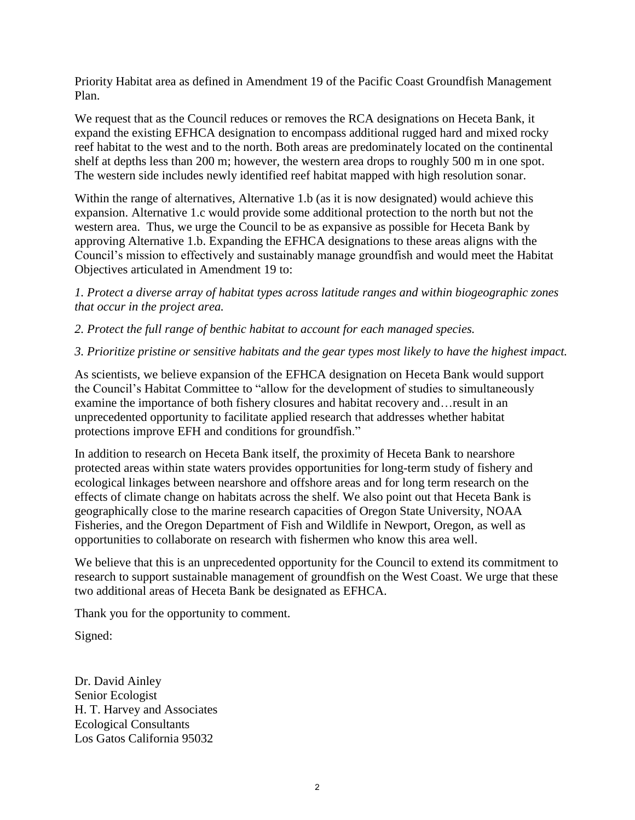Priority Habitat area as defined in Amendment 19 of the Pacific Coast Groundfish Management Plan.

We request that as the Council reduces or removes the RCA designations on Heceta Bank, it expand the existing EFHCA designation to encompass additional rugged hard and mixed rocky reef habitat to the west and to the north. Both areas are predominately located on the continental shelf at depths less than 200 m; however, the western area drops to roughly 500 m in one spot. The western side includes newly identified reef habitat mapped with high resolution sonar.

Within the range of alternatives, Alternative 1.b (as it is now designated) would achieve this expansion. Alternative 1.c would provide some additional protection to the north but not the western area. Thus, we urge the Council to be as expansive as possible for Heceta Bank by approving Alternative 1.b. Expanding the EFHCA designations to these areas aligns with the Council's mission to effectively and sustainably manage groundfish and would meet the Habitat Objectives articulated in Amendment 19 to:

*1. Protect a diverse array of habitat types across latitude ranges and within biogeographic zones that occur in the project area.* 

*2. Protect the full range of benthic habitat to account for each managed species.* 

## *3. Prioritize pristine or sensitive habitats and the gear types most likely to have the highest impact.*

As scientists, we believe expansion of the EFHCA designation on Heceta Bank would support the Council's Habitat Committee to "allow for the development of studies to simultaneously examine the importance of both fishery closures and habitat recovery and…result in an unprecedented opportunity to facilitate applied research that addresses whether habitat protections improve EFH and conditions for groundfish."

In addition to research on Heceta Bank itself, the proximity of Heceta Bank to nearshore protected areas within state waters provides opportunities for long-term study of fishery and ecological linkages between nearshore and offshore areas and for long term research on the effects of climate change on habitats across the shelf. We also point out that Heceta Bank is geographically close to the marine research capacities of Oregon State University, NOAA Fisheries, and the Oregon Department of Fish and Wildlife in Newport, Oregon, as well as opportunities to collaborate on research with fishermen who know this area well.

We believe that this is an unprecedented opportunity for the Council to extend its commitment to research to support sustainable management of groundfish on the West Coast. We urge that these two additional areas of Heceta Bank be designated as EFHCA.

Thank you for the opportunity to comment.

Signed:

Dr. David Ainley Senior Ecologist H. T. Harvey and Associates Ecological Consultants Los Gatos California 95032